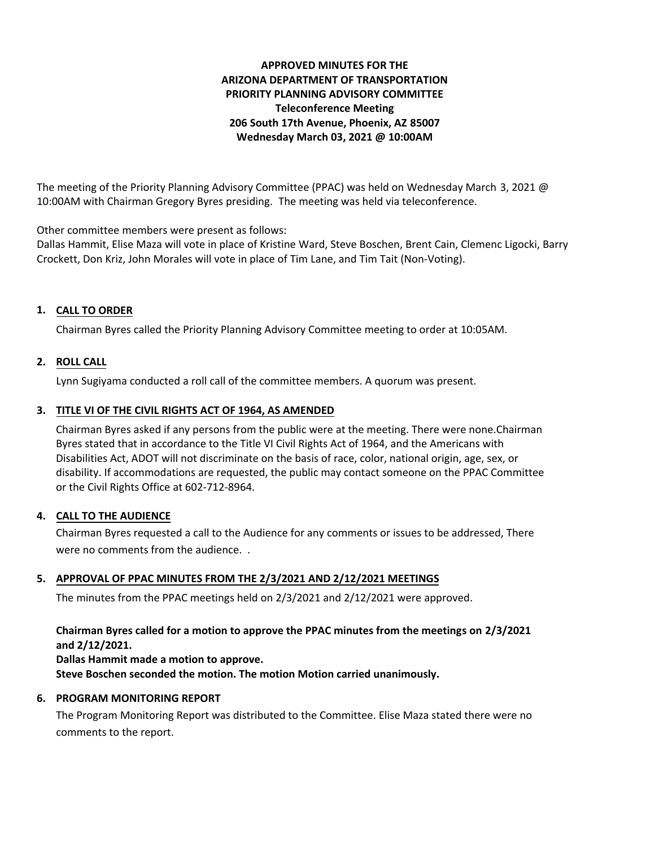# **APPROVED MINUTES FOR THE ARIZONA DEPARTMENT OF TRANSPORTATION PRIORITY PLANNING ADVISORY COMMITTEE Teleconference Meeting 206 South 17th Avenue, Phoenix, AZ 85007 Wednesday March 03, 2021 @ 10:00AM**

The meeting of the Priority Planning Advisory Committee (PPAC) was held on Wednesday March 3, 2021 @ 10:00AM with Chairman Gregory Byres presiding. The meeting was held via teleconference.

Other committee members were present as follows:

Dallas Hammit, Elise Maza will vote in place of Kristine Ward, Steve Boschen, Brent Cain, Clemenc Ligocki, Barry Crockett, Don Kriz, John Morales will vote in place of Tim Lane, and Tim Tait (Non-Voting).

# **CALL TO ORDER 1.**

Chairman Byres called the Priority Planning Advisory Committee meeting to order at 10:05AM.

## **ROLL CALL 2.**

Lynn Sugiyama conducted a roll call of the committee members. A quorum was present.

### **TITLE VI OF THE CIVIL RIGHTS ACT OF 1964, AS AMENDED 3.**

Chairman Byres asked if any persons from the public were at the meeting. There were none.Chairman Byres stated that in accordance to the Title VI Civil Rights Act of 1964, and the Americans with Disabilities Act, ADOT will not discriminate on the basis of race, color, national origin, age, sex, or disability. If accommodations are requested, the public may contact someone on the PPAC Committee or the Civil Rights Office at 602-712-8964.

### **CALL TO THE AUDIENCE 4.**

Chairman Byres requested a call to the Audience for any comments or issues to be addressed, There were no comments from the audience. .

## **APPROVAL OF PPAC MINUTES FROM THE 2/3/2021 AND 2/12/2021 MEETINGS 5.**

The minutes from the PPAC meetings held on 2/3/2021 and 2/12/2021 were approved.

# **Chairman Byres called for a motion to approve the PPAC minutes from the meetings on 2/3/2021 and 2/12/2021.**

**Dallas Hammit made a motion to approve. Steve Boschen seconded the motion. The motion Motion carried unanimously.**

### **6. PROGRAM MONITORING REPORT**

The Program Monitoring Report was distributed to the Committee. Elise Maza stated there were no comments to the report.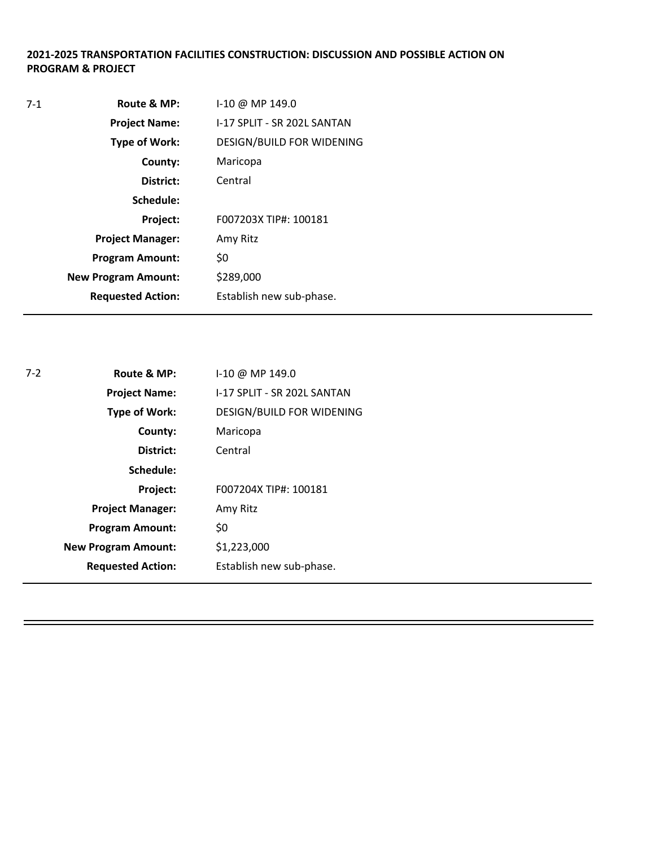# **2021-2025 TRANSPORTATION FACILITIES CONSTRUCTION: DISCUSSION AND POSSIBLE ACTION ON PROGRAM & PROJECT**

| $7-1$ | Route & MP:                | $1-10 \omega$ MP 149.0      |
|-------|----------------------------|-----------------------------|
|       | <b>Project Name:</b>       | I-17 SPLIT - SR 202L SANTAN |
|       | Type of Work:              | DESIGN/BUILD FOR WIDENING   |
|       | County:                    | Maricopa                    |
|       | District:                  | Central                     |
|       | Schedule:                  |                             |
|       | Project:                   | F007203X TIP#: 100181       |
|       | <b>Project Manager:</b>    | Amy Ritz                    |
|       | <b>Program Amount:</b>     | \$0                         |
|       | <b>New Program Amount:</b> | \$289,000                   |
|       | <b>Requested Action:</b>   | Establish new sub-phase.    |
|       |                            |                             |

| $7-2$ | Route & MP:                | I-10 @ MP 149.0             |
|-------|----------------------------|-----------------------------|
|       | <b>Project Name:</b>       | I-17 SPLIT - SR 202L SANTAN |
|       | <b>Type of Work:</b>       | DESIGN/BUILD FOR WIDENING   |
|       | County:                    | Maricopa                    |
|       | District:                  | Central                     |
|       | Schedule:                  |                             |
|       | Project:                   | F007204X TIP#: 100181       |
|       | <b>Project Manager:</b>    | Amy Ritz                    |
|       | <b>Program Amount:</b>     | \$0                         |
|       | <b>New Program Amount:</b> | \$1,223,000                 |
|       | <b>Requested Action:</b>   | Establish new sub-phase.    |
|       |                            |                             |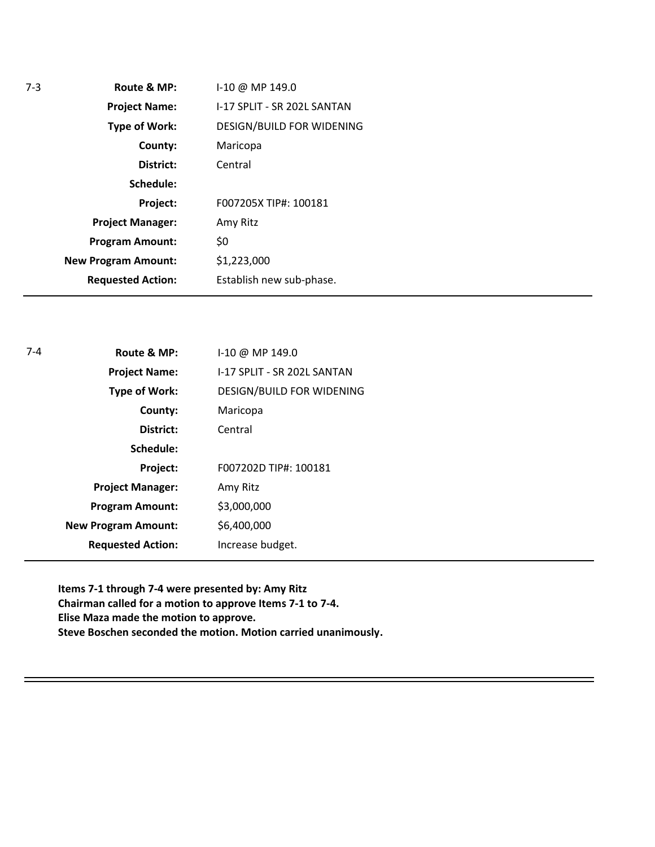| I-17 SPLIT - SR 202L SANTAN<br><b>Project Name:</b>  |  |
|------------------------------------------------------|--|
|                                                      |  |
| DESIGN/BUILD FOR WIDENING<br>Type of Work:           |  |
| Maricopa<br>County:                                  |  |
| District:<br>Central                                 |  |
| Schedule:                                            |  |
| Project:<br>F007205X TIP#: 100181                    |  |
| <b>Project Manager:</b><br>Amy Ritz                  |  |
| \$0<br><b>Program Amount:</b>                        |  |
| \$1,223,000<br><b>New Program Amount:</b>            |  |
| <b>Requested Action:</b><br>Establish new sub-phase. |  |

| $7 - 4$ | Route & MP:                | I-10 @ MP 149.0             |
|---------|----------------------------|-----------------------------|
|         | <b>Project Name:</b>       | I-17 SPLIT - SR 202L SANTAN |
|         | <b>Type of Work:</b>       | DESIGN/BUILD FOR WIDENING   |
|         | County:                    | Maricopa                    |
|         | District:                  | Central                     |
|         | Schedule:                  |                             |
|         | Project:                   | F007202D TIP#: 100181       |
|         | <b>Project Manager:</b>    | Amy Ritz                    |
|         | <b>Program Amount:</b>     | \$3,000,000                 |
|         | <b>New Program Amount:</b> | \$6,400,000                 |
|         | <b>Requested Action:</b>   | Increase budget.            |
|         |                            |                             |

**Items 7-1 through 7-4 were presented by: Amy Ritz Chairman called for a motion to approve Items 7-1 to 7-4. Elise Maza made the motion to approve. Steve Boschen seconded the motion. Motion carried unanimously.**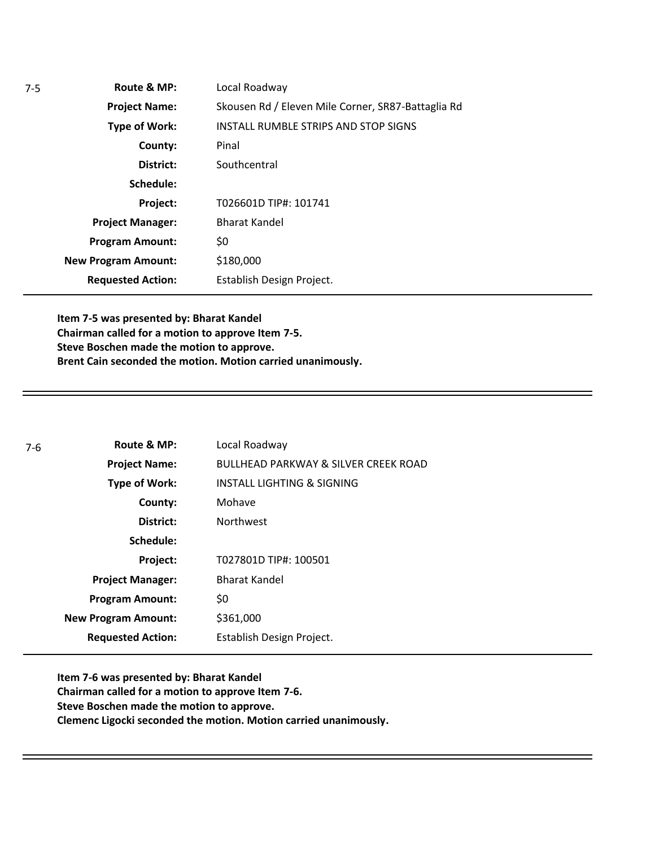**Route & MP: County: District: Schedule: Project Name: Type of Work: Project Manager: Project: Requested Action: New Program Amount: Program Amount:** Local Roadway Skousen Rd / Eleven Mile Corner, SR87-Battaglia Rd INSTALL RUMBLE STRIPS AND STOP SIGNS Pinal **Southcentral** T026601D TIP#: 101741 Bharat Kandel \$0 \$180,000 Establish Design Project.

**Item 7-5 was presented by: Bharat Kandel Chairman called for a motion to approve Item 7-5. Steve Boschen made the motion to approve. Brent Cain seconded the motion. Motion carried unanimously.**

| 7-6 | Route & MP:                | Local Roadway                                   |
|-----|----------------------------|-------------------------------------------------|
|     | <b>Project Name:</b>       | <b>BULLHEAD PARKWAY &amp; SILVER CREEK ROAD</b> |
|     | <b>Type of Work:</b>       | <b>INSTALL LIGHTING &amp; SIGNING</b>           |
|     | County:                    | Mohave                                          |
|     | District:                  | <b>Northwest</b>                                |
|     | Schedule:                  |                                                 |
|     | Project:                   | T027801D TIP#: 100501                           |
|     | <b>Project Manager:</b>    | <b>Bharat Kandel</b>                            |
|     | <b>Program Amount:</b>     | \$0                                             |
|     | <b>New Program Amount:</b> | \$361,000                                       |
|     | <b>Requested Action:</b>   | Establish Design Project.                       |

**Item 7-6 was presented by: Bharat Kandel Chairman called for a motion to approve Item 7-6. Steve Boschen made the motion to approve. Clemenc Ligocki seconded the motion. Motion carried unanimously.**

7-5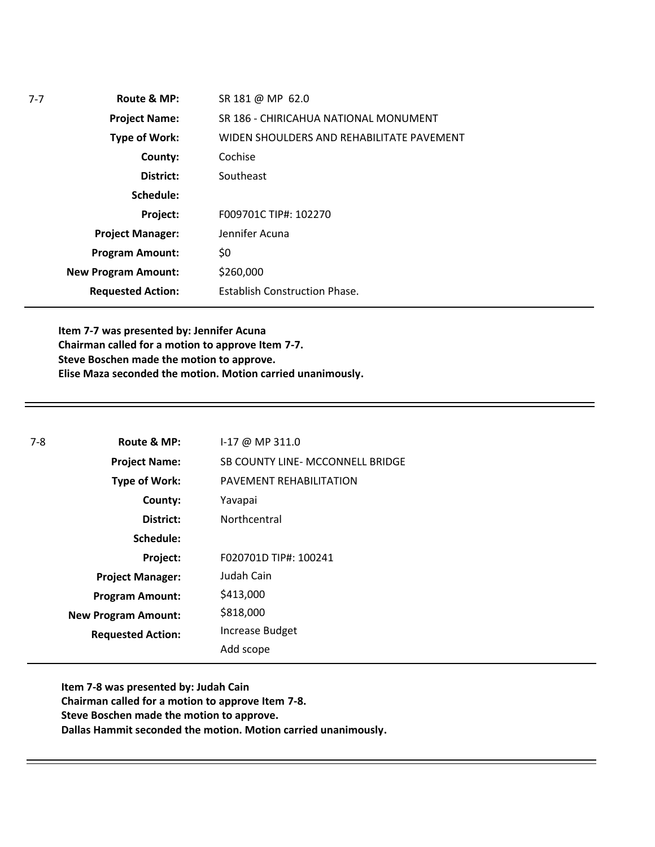| $7 - 7$ | Route & MP:                | SR 181 @ MP 62.0                          |
|---------|----------------------------|-------------------------------------------|
|         | <b>Project Name:</b>       | SR 186 - CHIRICAHUA NATIONAL MONUMENT     |
|         | Type of Work:              | WIDEN SHOULDERS AND REHABILITATE PAVEMENT |
|         | County:                    | Cochise                                   |
|         | District:                  | Southeast                                 |
|         | Schedule:                  |                                           |
|         | Project:                   | F009701C TIP#: 102270                     |
|         | <b>Project Manager:</b>    | Jennifer Acuna                            |
|         | <b>Program Amount:</b>     | \$0                                       |
|         | <b>New Program Amount:</b> | \$260,000                                 |
|         | <b>Requested Action:</b>   | <b>Establish Construction Phase.</b>      |
|         |                            |                                           |

**Item 7-7 was presented by: Jennifer Acuna Chairman called for a motion to approve Item 7-7. Steve Boschen made the motion to approve. Elise Maza seconded the motion. Motion carried unanimously.** 

| $7-8$ | Route & MP:                | $1-17$ @ MP 311.0                |
|-------|----------------------------|----------------------------------|
|       | <b>Project Name:</b>       | SB COUNTY LINE- MCCONNELL BRIDGE |
|       | Type of Work:              | PAVEMENT REHABILITATION          |
|       | County:                    | Yavapai                          |
|       | District:                  | Northcentral                     |
|       | Schedule:                  |                                  |
|       | Project:                   | F020701D TIP#: 100241            |
|       | <b>Project Manager:</b>    | Judah Cain                       |
|       | <b>Program Amount:</b>     | \$413,000                        |
|       | <b>New Program Amount:</b> | \$818,000                        |
|       | <b>Requested Action:</b>   | <b>Increase Budget</b>           |
|       |                            | Add scope                        |

**Item 7-8 was presented by: Judah Cain Chairman called for a motion to approve Item 7-8. Steve Boschen made the motion to approve. Dallas Hammit seconded the motion. Motion carried unanimously.** 

7-7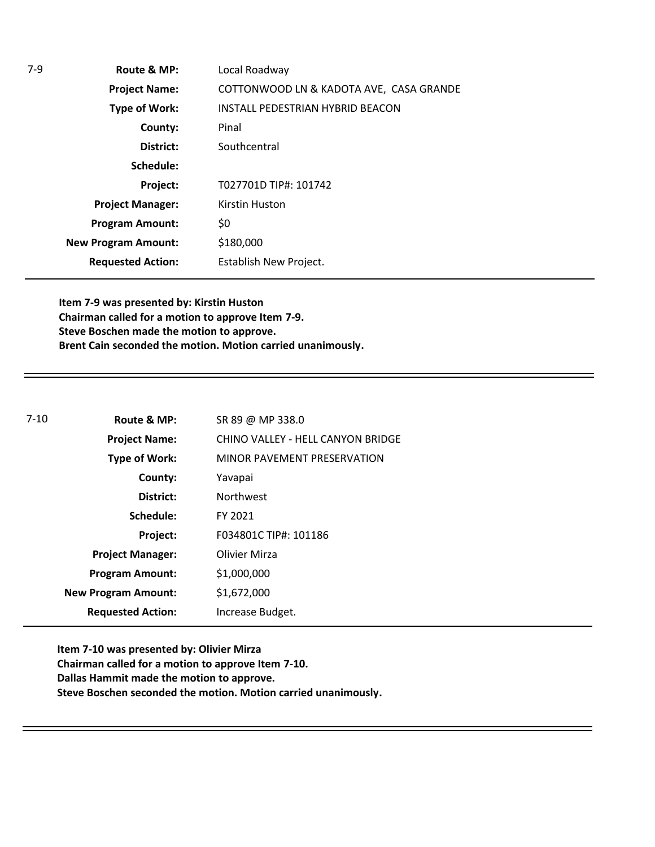**Route & MP: County: District: Schedule: Project Name: Type of Work: Project Manager: Project: Requested Action: New Program Amount:** 7-9 **Program Amount:** Local Roadway COTTONWOOD LN & KADOTA AVE, CASA GRANDE INSTALL PEDESTRIAN HYBRID BEACON Pinal **Southcentral** T027701D TIP#: 101742 Kirstin Huston \$0 \$180,000 Establish New Project.

**Item 7-9 was presented by: Kirstin Huston Chairman called for a motion to approve Item 7-9. Steve Boschen made the motion to approve. Brent Cain seconded the motion. Motion carried unanimously.** 

| $7 - 10$<br>Route & MP: |                            | SR 89 @ MP 338.0                  |
|-------------------------|----------------------------|-----------------------------------|
|                         | <b>Project Name:</b>       | CHINO VALLEY - HELL CANYON BRIDGE |
|                         | <b>Type of Work:</b>       | MINOR PAVEMENT PRESERVATION       |
|                         | County:                    | Yavapai                           |
|                         | District:                  | <b>Northwest</b>                  |
|                         | Schedule:                  | FY 2021                           |
|                         | Project:                   | F034801C TIP#: 101186             |
|                         | <b>Project Manager:</b>    | Olivier Mirza                     |
|                         | <b>Program Amount:</b>     | \$1,000,000                       |
|                         | <b>New Program Amount:</b> | \$1,672,000                       |
|                         | <b>Requested Action:</b>   | Increase Budget.                  |

**Item 7-10 was presented by: Olivier Mirza Chairman called for a motion to approve Item 7-10. Dallas Hammit made the motion to approve. Steve Boschen seconded the motion. Motion carried unanimously.**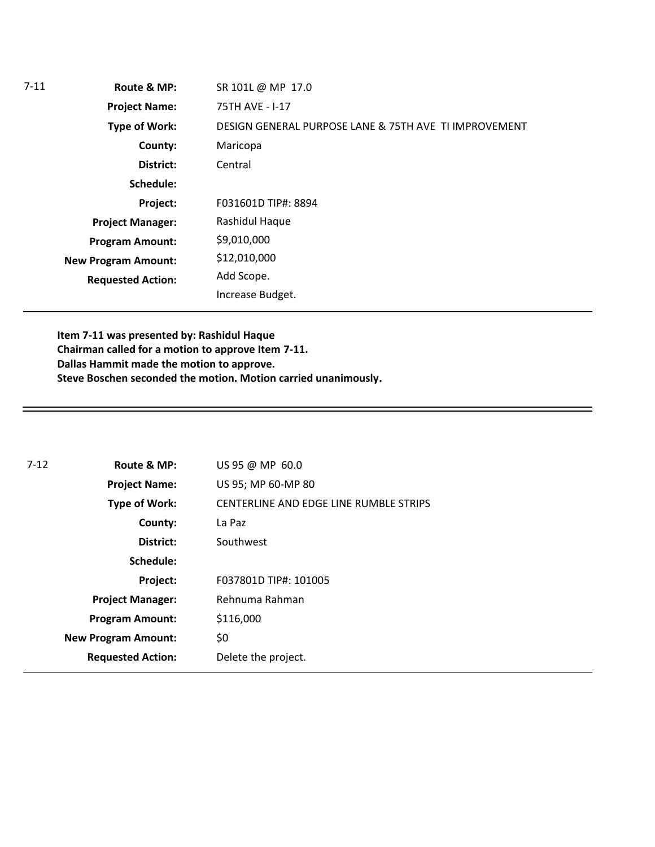| $7 - 11$ | Route & MP:                | SR 101L @ MP 17.0                                     |
|----------|----------------------------|-------------------------------------------------------|
|          | <b>Project Name:</b>       | 75TH AVE - I-17                                       |
|          | <b>Type of Work:</b>       | DESIGN GENERAL PURPOSE LANE & 75TH AVE TI IMPROVEMENT |
|          | County:                    | Maricopa                                              |
|          | District:                  | Central                                               |
|          | Schedule:                  |                                                       |
|          | Project:                   | F031601D TIP#: 8894                                   |
|          | <b>Project Manager:</b>    | Rashidul Haque                                        |
|          | <b>Program Amount:</b>     | \$9,010,000                                           |
|          | <b>New Program Amount:</b> | \$12,010,000                                          |
|          | <b>Requested Action:</b>   | Add Scope.                                            |
|          |                            | Increase Budget.                                      |

**Item 7-11 was presented by: Rashidul Haque Chairman called for a motion to approve Item 7-11. Dallas Hammit made the motion to approve. Steve Boschen seconded the motion. Motion carried unanimously.**

| $7 - 12$<br>Route & MP: |                                                         | US 95 @ MP 60.0       |
|-------------------------|---------------------------------------------------------|-----------------------|
|                         | <b>Project Name:</b>                                    | US 95; MP 60-MP 80    |
|                         | CENTERLINE AND EDGE LINE RUMBLE STRIPS<br>Type of Work: |                       |
|                         | County:                                                 | La Paz                |
|                         | District:                                               | Southwest             |
|                         | Schedule:                                               |                       |
|                         | Project:                                                | F037801D TIP#: 101005 |
|                         | <b>Project Manager:</b>                                 | Rehnuma Rahman        |
|                         | <b>Program Amount:</b>                                  | \$116,000             |
|                         | <b>New Program Amount:</b>                              | \$0                   |
|                         | <b>Requested Action:</b>                                | Delete the project.   |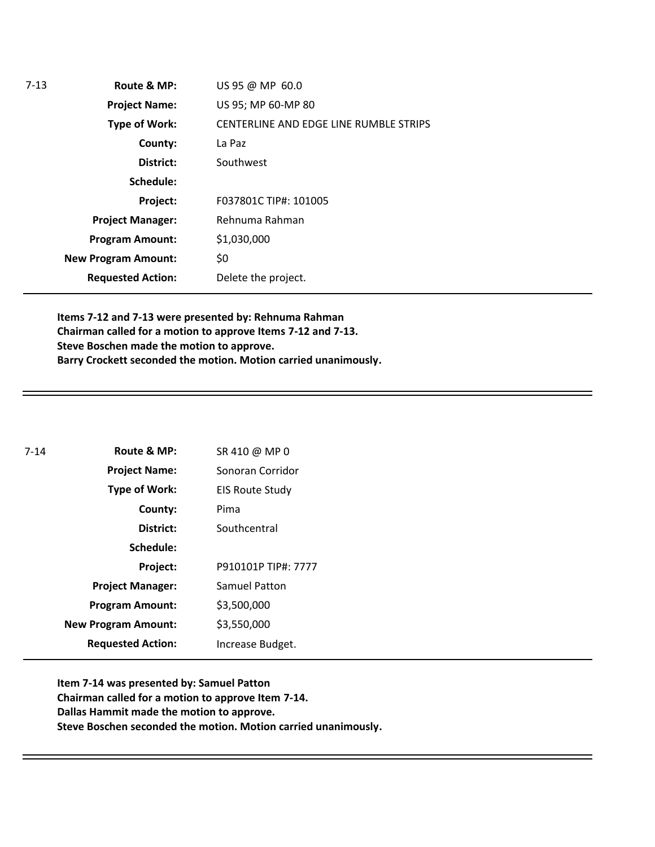| $7-13$ | Route & MP:                | US 95 @ MP 60.0                        |
|--------|----------------------------|----------------------------------------|
|        | <b>Project Name:</b>       | US 95; MP 60-MP 80                     |
|        | Type of Work:              | CENTERLINE AND EDGE LINE RUMBLE STRIPS |
|        | County:                    | La Paz                                 |
|        | District:                  | Southwest                              |
|        | Schedule:                  |                                        |
|        | Project:                   | F037801C TIP#: 101005                  |
|        | <b>Project Manager:</b>    | Rehnuma Rahman                         |
|        | <b>Program Amount:</b>     | \$1,030,000                            |
|        | <b>New Program Amount:</b> | \$0                                    |
|        | <b>Requested Action:</b>   | Delete the project.                    |

**Items 7-12 and 7-13 were presented by: Rehnuma Rahman Chairman called for a motion to approve Items 7-12 and 7-13. Steve Boschen made the motion to approve. Barry Crockett seconded the motion. Motion carried unanimously.** 

| $7 - 14$ | Route & MP:                | SR 410 @ MP 0          |
|----------|----------------------------|------------------------|
|          | <b>Project Name:</b>       | Sonoran Corridor       |
|          | <b>Type of Work:</b>       | <b>EIS Route Study</b> |
|          | County:                    | Pima                   |
|          | District:                  | Southcentral           |
|          | Schedule:                  |                        |
|          | Project:                   | P910101P TIP#: 7777    |
|          | <b>Project Manager:</b>    | <b>Samuel Patton</b>   |
|          | <b>Program Amount:</b>     | \$3,500,000            |
|          | <b>New Program Amount:</b> | \$3,550,000            |
|          | <b>Requested Action:</b>   | Increase Budget.       |

**Item 7-14 was presented by: Samuel Patton Chairman called for a motion to approve Item 7-14. Dallas Hammit made the motion to approve. Steve Boschen seconded the motion. Motion carried unanimously.**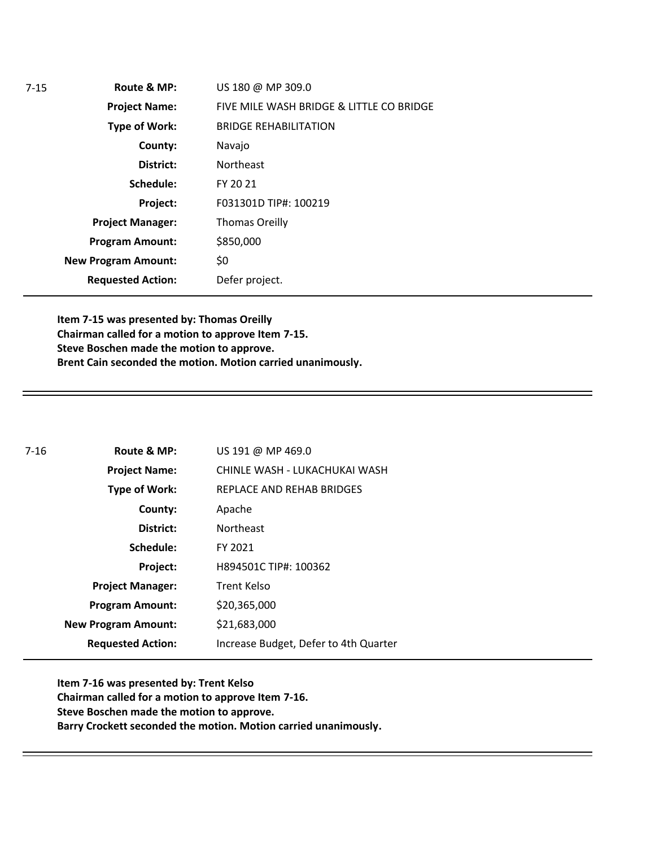| Route & MP:                | US 180 @ MP 309.0                        |
|----------------------------|------------------------------------------|
| <b>Project Name:</b>       | FIVE MILE WASH BRIDGE & LITTLE CO BRIDGE |
| <b>Type of Work:</b>       | <b>BRIDGE REHABILITATION</b>             |
| County:                    | Navajo                                   |
| District:                  | <b>Northeast</b>                         |
| Schedule:                  | FY 20 21                                 |
| Project:                   | F031301D TIP#: 100219                    |
| <b>Project Manager:</b>    | <b>Thomas Oreilly</b>                    |
| <b>Program Amount:</b>     | \$850,000                                |
| <b>New Program Amount:</b> | \$0                                      |
| <b>Requested Action:</b>   | Defer project.                           |
|                            |                                          |

**Item 7-15 was presented by: Thomas Oreilly Chairman called for a motion to approve Item 7-15. Steve Boschen made the motion to approve. Brent Cain seconded the motion. Motion carried unanimously.**

| 7-16 | Route & MP:                | US 191 @ MP 469.0                     |
|------|----------------------------|---------------------------------------|
|      | <b>Project Name:</b>       | CHINLE WASH - LUKACHUKAI WASH         |
|      | <b>Type of Work:</b>       | REPLACE AND REHAB BRIDGES             |
|      | County:                    | Apache                                |
|      | District:                  | <b>Northeast</b>                      |
|      | Schedule:                  | FY 2021                               |
|      | Project:                   | H894501C TIP#: 100362                 |
|      | <b>Project Manager:</b>    | Trent Kelso                           |
|      | <b>Program Amount:</b>     | \$20,365,000                          |
|      | <b>New Program Amount:</b> | \$21,683,000                          |
|      | <b>Requested Action:</b>   | Increase Budget, Defer to 4th Quarter |

**Item 7-16 was presented by: Trent Kelso Chairman called for a motion to approve Item 7-16. Steve Boschen made the motion to approve. Barry Crockett seconded the motion. Motion carried unanimously.**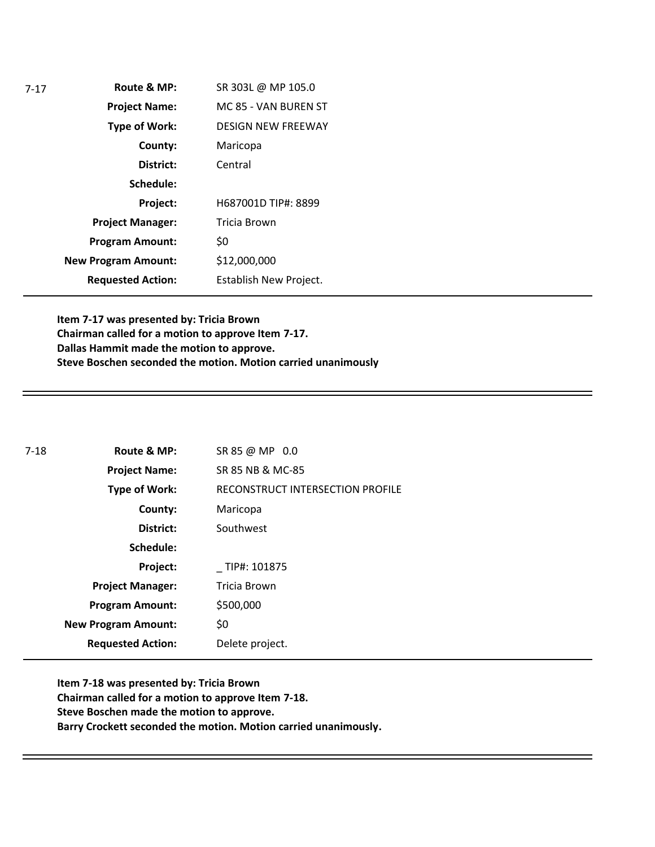| $7-17$ | Route & MP:                | SR 303L @ MP 105.0        |
|--------|----------------------------|---------------------------|
|        | <b>Project Name:</b>       | MC 85 - VAN BUREN ST      |
|        | Type of Work:              | <b>DESIGN NEW FREEWAY</b> |
|        | County:                    | Maricopa                  |
|        | District:                  | Central                   |
|        | Schedule:                  |                           |
|        | Project:                   | H687001D TIP#: 8899       |
|        | <b>Project Manager:</b>    | <b>Tricia Brown</b>       |
|        | <b>Program Amount:</b>     | \$0                       |
|        | <b>New Program Amount:</b> | \$12,000,000              |
|        | <b>Requested Action:</b>   | Establish New Project.    |

**Item 7-17 was presented by: Tricia Brown Chairman called for a motion to approve Item 7-17. Dallas Hammit made the motion to approve. Steve Boschen seconded the motion. Motion carried unanimously**

| $7-18$ | Route & MP:                | SR 85 @ MP 0.0                   |
|--------|----------------------------|----------------------------------|
|        | <b>Project Name:</b>       | SR 85 NB & MC-85                 |
|        | <b>Type of Work:</b>       | RECONSTRUCT INTERSECTION PROFILE |
|        | County:                    | Maricopa                         |
|        | District:                  | Southwest                        |
|        | Schedule:                  |                                  |
|        | Project:                   | TIP#: 101875                     |
|        | <b>Project Manager:</b>    | Tricia Brown                     |
|        | <b>Program Amount:</b>     | \$500,000                        |
|        | <b>New Program Amount:</b> | \$0                              |
|        | <b>Requested Action:</b>   | Delete project.                  |

**Item 7-18 was presented by: Tricia Brown Chairman called for a motion to approve Item 7-18. Steve Boschen made the motion to approve. Barry Crockett seconded the motion. Motion carried unanimously.**